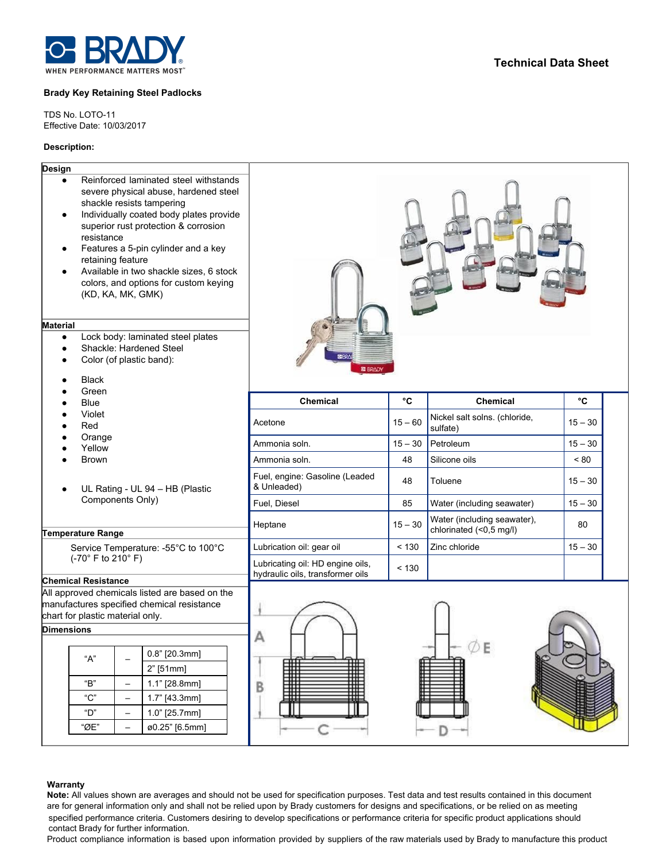

### **Brady Key Retaining Steel Padlocks**

TDS No. LOTO-11 Effective Date: 10/03/2017

## **Description:**

# **Design**

- Reinforced laminated steel withstands severe physical abuse, hardened steel shackle resists tampering
- Individually coated body plates provide superior rust protection & corrosion resistance
- Features a 5-pin cylinder and a key retaining feature
- Available in two shackle sizes, 6 stock colors, and options for custom keying (KD, KA, MK, GMK)

#### **Material**

- Lock body: laminated steel plates
- Shackle: Hardened Steel
- Color (of plastic band):
- Black
- Green
- Blue
- Violet
- Red
- Orange
- Yellow
- Brown
- UL Rating UL 94 HB (Plastic Components Only)

### **Temperature Range**

Service Temperature: -55°C to 100°C (-70° F to 210° F)

# **Chemical Resistance**

All approved chemicals listed are based on the manufactures specified chemical resistance chart for plastic material only.

# **Dimensions**

| "А"  | $0.8"$ [20.3mm] |
|------|-----------------|
|      | $2"$ [51mm]     |
| "R"  | $1.1"$ [28.8mm] |
| "ር"  | $1.7"$ [43.3mm] |
| "ר"  | $1.0"$ [25.7mm] |
| "ØF" | ø0.25" [6.5mm]  |
|      |                 |



| <b>Chemical</b>                                                      | °C        | Chemical                                               | °C        |
|----------------------------------------------------------------------|-----------|--------------------------------------------------------|-----------|
| Acetone                                                              | $15 - 60$ | Nickel salt solns. (chloride,<br>sulfate)              | $15 - 30$ |
| Ammonia soln.                                                        | $15 - 30$ | Petroleum                                              | $15 - 30$ |
| Ammonia soln.                                                        | 48        | Silicone oils                                          | ~180      |
| Fuel, engine: Gasoline (Leaded<br>& Unleaded)                        | 48        | Toluene                                                | $15 - 30$ |
| Fuel, Diesel                                                         | 85        | Water (including seawater)                             | $15 - 30$ |
| Heptane                                                              | $15 - 30$ | Water (including seawater),<br>chlorinated (<0,5 mg/l) | 80        |
| Lubrication oil: gear oil                                            | < 130     | Zinc chloride                                          | $15 - 30$ |
| Lubricating oil: HD engine oils,<br>hydraulic oils, transformer oils | < 130     |                                                        |           |







#### **Warranty**

**Note:** All values shown are averages and should not be used for specification purposes. Test data and test results contained in this document are for general information only and shall not be relied upon by Brady customers for designs and specifications, or be relied on as meeting specified performance criteria. Customers desiring to develop specifications or performance criteria for specific product applications should contact Brady for further information.

Product compliance information is based upon information provided by suppliers of the raw materials used by Brady to manufacture this product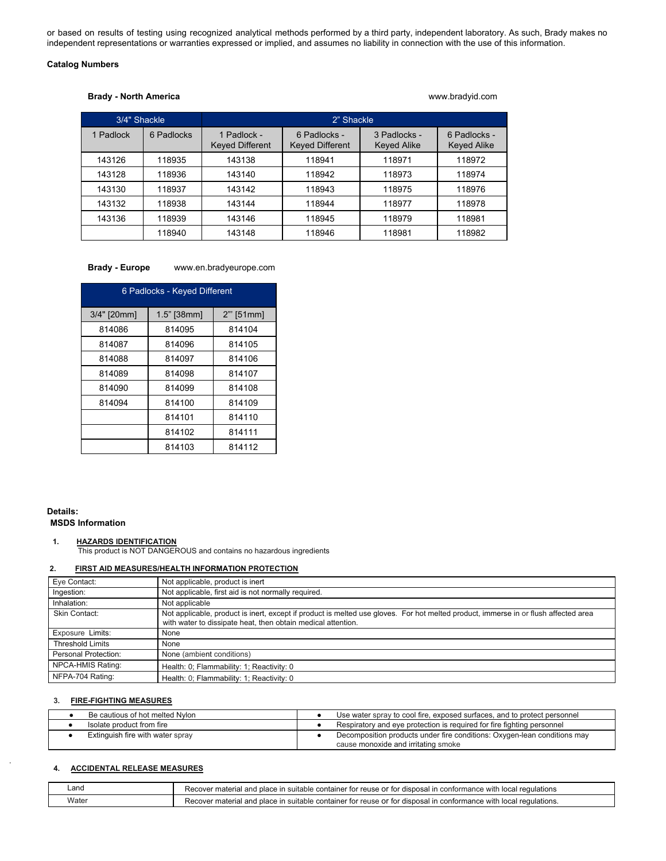or based on results of testing using recognized analytical methods performed by a third party, independent laboratory. As such, Brady makes no independent representations or warranties expressed or implied, and assumes no liability in connection with the use of this information.

## **Catalog Numbers**

### **Brady - North America** www.bradyid.com

| 3/4" Shackle |            | 2" Shackle                            |                                        |                                    |                             |
|--------------|------------|---------------------------------------|----------------------------------------|------------------------------------|-----------------------------|
| 1 Padlock    | 6 Padlocks | 1 Padlock -<br><b>Keyed Different</b> | 6 Padlocks -<br><b>Keyed Different</b> | 3 Padlocks -<br><b>Keyed Alike</b> | 6 Padlocks -<br>Keyed Alike |
| 143126       | 118935     | 143138                                | 118941                                 | 118971                             | 118972                      |
| 143128       | 118936     | 143140                                | 118942                                 | 118973                             | 118974                      |
| 143130       | 118937     | 143142                                | 118943                                 | 118975                             | 118976                      |
| 143132       | 118938     | 143144                                | 118944                                 | 118977                             | 118978                      |
| 143136       | 118939     | 143146                                | 118945                                 | 118979                             | 118981                      |
|              | 118940     | 143148                                | 118946                                 | 118981                             | 118982                      |

## **Brady - Europe** www.en.bradyeurope.com

| 6 Padlocks - Keyed Different |               |             |  |
|------------------------------|---------------|-------------|--|
| 3/4" [20mm]                  | $1.5"$ [38mm] | $2"$ [51mm] |  |
| 814086                       | 814095        | 814104      |  |
| 814087                       | 814096        | 814105      |  |
| 814088                       | 814097        | 814106      |  |
| 814089                       | 814098        | 814107      |  |
| 814090                       | 814099        | 814108      |  |
| 814094                       | 814100        | 814109      |  |
|                              | 814101        | 814110      |  |
|                              | 814102        | 814111      |  |
|                              | 814103        | 814112      |  |

### **Details: MSDS Information**

## **1. HAZARDS IDENTIFICATION**

This product is NOT DANGEROUS and contains no hazardous ingredients

### **2. FIRST AID MEASURES/HEALTH INFORMATION PROTECTION**

| Eye Contact:            | Not applicable, product is inert                                                                                                                                                                    |
|-------------------------|-----------------------------------------------------------------------------------------------------------------------------------------------------------------------------------------------------|
| Ingestion:              | Not applicable, first aid is not normally required.                                                                                                                                                 |
| Inhalation:             | Not applicable                                                                                                                                                                                      |
| Skin Contact:           | Not applicable, product is inert, except if product is melted use gloves. For hot melted product, immerse in or flush affected area<br>with water to dissipate heat, then obtain medical attention. |
| Exposure Limits:        | None                                                                                                                                                                                                |
| <b>Threshold Limits</b> | None                                                                                                                                                                                                |
| Personal Protection:    | None (ambient conditions)                                                                                                                                                                           |
| NPCA-HMIS Rating:       | Health: 0; Flammability: 1; Reactivity: 0                                                                                                                                                           |
| NFPA-704 Rating:        | Health: 0; Flammability: 1; Reactivity: 0                                                                                                                                                           |

# **3. FIRE-FIGHTING MEASURES**

| Be cautious of hot melted Nylon  | Use water spray to cool fire, exposed surfaces, and to protect personnel                                        |
|----------------------------------|-----------------------------------------------------------------------------------------------------------------|
| Isolate product from fire        | Respiratory and eye protection is required for fire fighting personnel                                          |
| Extinguish fire with water spray | Decomposition products under fire conditions: Oxygen-lean conditions may<br>cause monoxide and irritating smoke |

### **4. ACCIDENTAL RELEASE MEASURES**

| _and  | Recover material and place in suitable container for reuse or for disposal in conformance with local regulations  |
|-------|-------------------------------------------------------------------------------------------------------------------|
| Water | Recover material and place in suitable container for reuse or for disposal in conformance with local regulations. |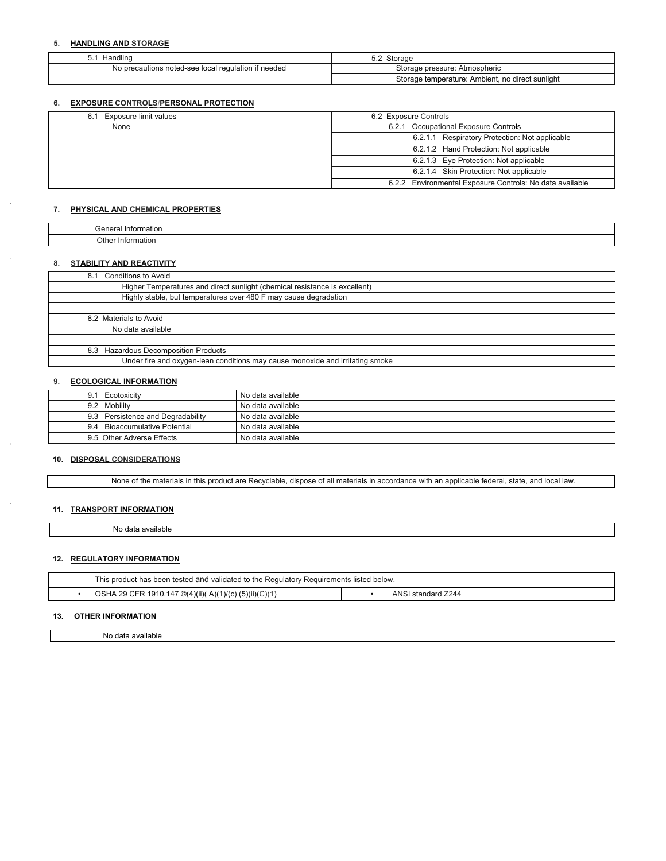### **5. HANDLING AND STORAGE**

| Handling                                            | Storage                                          |
|-----------------------------------------------------|--------------------------------------------------|
| No precautions noted-see local regulation if needed | Storage pressure: Atmospheric                    |
|                                                     | Storage temperature: Ambient, no direct sunlight |

### **6. EXPOSURE CONTROLS/PERSONAL PROTECTION**

| 6.1 Exposure limit values | 6.2 Exposure Controls                                    |
|---------------------------|----------------------------------------------------------|
| None                      | 6.2.1 Occupational Exposure Controls                     |
|                           | 6.2.1.1 Respiratory Protection: Not applicable           |
|                           | 6.2.1.2 Hand Protection: Not applicable                  |
|                           | 6.2.1.3 Eye Protection: Not applicable                   |
|                           | 6.2.1.4 Skin Protection: Not applicable                  |
|                           | 6.2.2 Environmental Exposure Controls: No data available |
|                           |                                                          |

### **7. PHYSICAL AND CHEMICAL PROPERTIES**

| "<br>Into<br><b>ICHU</b>                     |  |
|----------------------------------------------|--|
| Othe<br>intr<br>IOITE<br>11 I<br>.<br>.<br>. |  |

# **8. STABILITY AND REACTIVITY**

#### **9. ECOLOGICAL INFORMATION**

| 9.1 | Ecotoxicity                       | No data available |
|-----|-----------------------------------|-------------------|
|     | 9.2 Mobility                      | No data available |
|     | 9.3 Persistence and Degradability | No data available |
|     | 9.4 Bioaccumulative Potential     | No data available |
|     | 9.5 Other Adverse Effects         | No data available |
|     |                                   |                   |

### **10. DISPOSAL CONSIDERATIONS**

None of the materials in this product are Recyclable, dispose of all materials in accordance with an applicable federal, state, and local law.

# **11. TRANSPORT INFORMATION**

No data available

### **12. REGULATORY INFORMATION**

| This product has been tested and validated to the Regulatory Requirements listed below. |                                                        |  |                    |
|-----------------------------------------------------------------------------------------|--------------------------------------------------------|--|--------------------|
|                                                                                         | OSHA 29 CFR 1910.147 ©(4)(ii)( A)(1)/(c) (5)(ii)(C)(1) |  | ANSI standard 7244 |

# **13. OTHER INFORMATION**

No data available